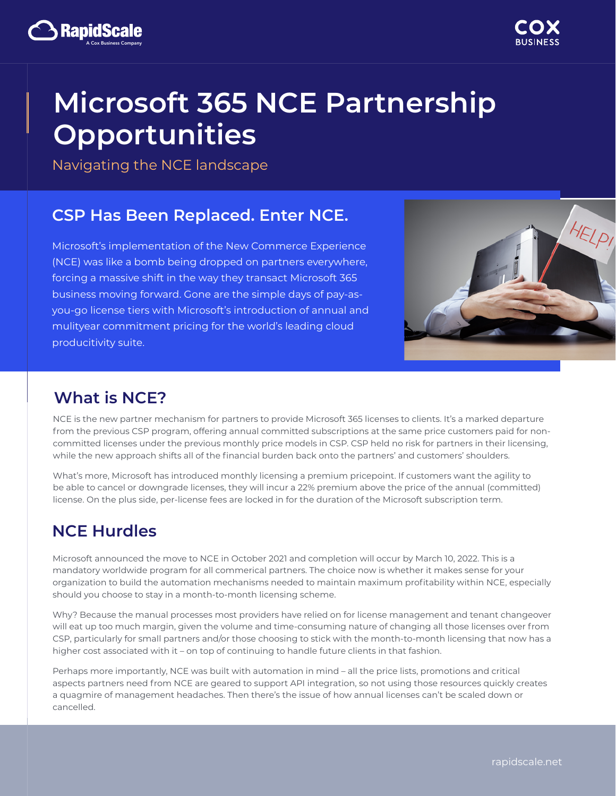

# **Microsoft 365 NCE Partnership Opportunities**

Navigating the NCE landscape

A Cox Business Company

Ranın

## **CSP Has Been Replaced. Enter NCE.**

Microsoft's implementation of the New Commerce Experience (NCE) was like a bomb being dropped on partners everywhere, forcing a massive shift in the way they transact Microsoft 365 business moving forward. Gone are the simple days of pay-asyou-go license tiers with Microsoft's introduction of annual and mulityear commitment pricing for the world's leading cloud producitivity suite.



## **What is NCE?**

NCE is the new partner mechanism for partners to provide Microsoft 365 licenses to clients. It's a marked departure from the previous CSP program, offering annual committed subscriptions at the same price customers paid for noncommitted licenses under the previous monthly price models in CSP. CSP held no risk for partners in their licensing, while the new approach shifts all of the financial burden back onto the partners' and customers' shoulders.

What's more, Microsoft has introduced monthly licensing a premium pricepoint. If customers want the agility to be able to cancel or downgrade licenses, they will incur a 22% premium above the price of the annual (committed) license. On the plus side, per-license fees are locked in for the duration of the Microsoft subscription term.

# **NCE Hurdles**

Microsoft announced the move to NCE in October 2021 and completion will occur by March 10, 2022. This is a mandatory worldwide program for all commerical partners. The choice now is whether it makes sense for your organization to build the automation mechanisms needed to maintain maximum profitability within NCE, especially should you choose to stay in a month-to-month licensing scheme.

Why? Because the manual processes most providers have relied on for license management and tenant changeover will eat up too much margin, given the volume and time-consuming nature of changing all those licenses over from CSP, particularly for small partners and/or those choosing to stick with the month-to-month licensing that now has a higher cost associated with it – on top of continuing to handle future clients in that fashion.

Perhaps more importantly, NCE was built with automation in mind – all the price lists, promotions and critical aspects partners need from NCE are geared to support API integration, so not using those resources quickly creates a quagmire of management headaches. Then there's the issue of how annual licenses can't be scaled down or cancelled.